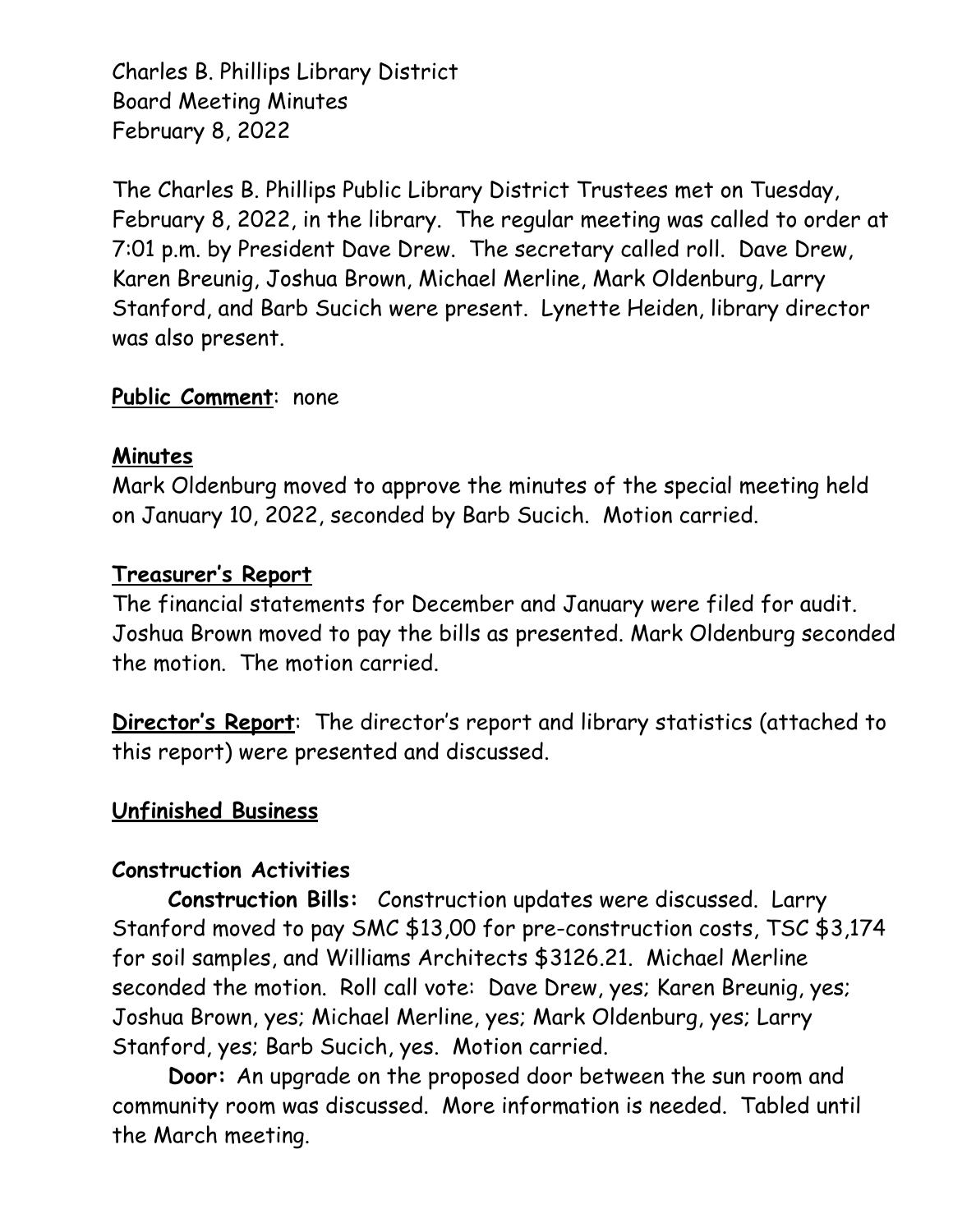Charles B. Phillips Library District Board Meeting Minutes February 8, 2022

The Charles B. Phillips Public Library District Trustees met on Tuesday, February 8, 2022, in the library. The regular meeting was called to order at 7:01 p.m. by President Dave Drew. The secretary called roll. Dave Drew, Karen Breunig, Joshua Brown, Michael Merline, Mark Oldenburg, Larry Stanford, and Barb Sucich were present. Lynette Heiden, library director was also present.

### **Public Comment**: none

## **Minutes**

Mark Oldenburg moved to approve the minutes of the special meeting held on January 10, 2022, seconded by Barb Sucich. Motion carried.

### **Treasurer's Report**

The financial statements for December and January were filed for audit. Joshua Brown moved to pay the bills as presented. Mark Oldenburg seconded the motion. The motion carried.

**Director's Report**: The director's report and library statistics (attached to this report) were presented and discussed.

## **Unfinished Business**

#### **Construction Activities**

**Construction Bills:** Construction updates were discussed. Larry Stanford moved to pay SMC \$13,00 for pre-construction costs, TSC \$3,174 for soil samples, and Williams Architects \$3126.21. Michael Merline seconded the motion. Roll call vote: Dave Drew, yes; Karen Breunig, yes; Joshua Brown, yes; Michael Merline, yes; Mark Oldenburg, yes; Larry Stanford, yes; Barb Sucich, yes. Motion carried.

**Door:** An upgrade on the proposed door between the sun room and community room was discussed. More information is needed. Tabled until the March meeting.